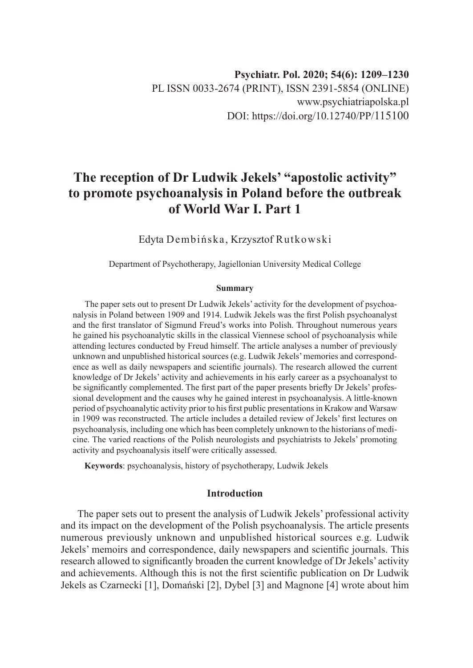# **The reception of Dr Ludwik Jekels' "apostolic activity" to promote psychoanalysis in Poland before the outbreak of World War I. Part 1**

Edyta Dembińska, Krzysztof Rutkowski

Department of Psychotherapy, Jagiellonian University Medical College

#### **Summary**

The paper sets out to present Dr Ludwik Jekels' activity for the development of psychoanalysis in Poland between 1909 and 1914. Ludwik Jekels was the first Polish psychoanalyst and the first translator of Sigmund Freud's works into Polish. Throughout numerous years he gained his psychoanalytic skills in the classical Viennese school of psychoanalysis while attending lectures conducted by Freud himself. The article analyses a number of previously unknown and unpublished historical sources (e.g. Ludwik Jekels' memories and correspondence as well as daily newspapers and scientific journals). The research allowed the current knowledge of Dr Jekels' activity and achievements in his early career as a psychoanalyst to be significantly complemented. The first part of the paper presents briefly Dr Jekels' professional development and the causes why he gained interest in psychoanalysis. A little-known period of psychoanalytic activity prior to his first public presentations in Krakow and Warsaw in 1909 was reconstructed. The article includes a detailed review of Jekels' first lectures on psychoanalysis, including one which has been completely unknown to the historians of medicine. The varied reactions of the Polish neurologists and psychiatrists to Jekels' promoting activity and psychoanalysis itself were critically assessed.

**Keywords**: psychoanalysis, history of psychotherapy, Ludwik Jekels

## **Introduction**

The paper sets out to present the analysis of Ludwik Jekels' professional activity and its impact on the development of the Polish psychoanalysis. The article presents numerous previously unknown and unpublished historical sources e.g. Ludwik Jekels' memoirs and correspondence, daily newspapers and scientific journals. This research allowed to significantly broaden the current knowledge of Dr Jekels' activity and achievements. Although this is not the first scientific publication on Dr Ludwik Jekels as Czarnecki [1], Domański [2], Dybel [3] and Magnone [4] wrote about him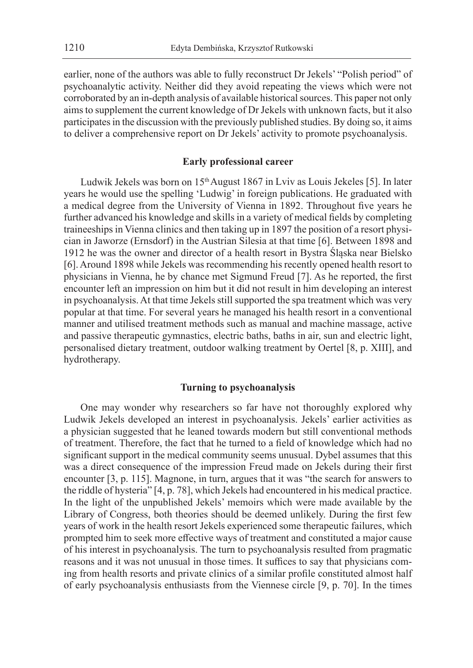earlier, none of the authors was able to fully reconstruct Dr Jekels' "Polish period" of psychoanalytic activity. Neither did they avoid repeating the views which were not corroborated by an in-depth analysis of available historical sources. This paper not only aims to supplement the current knowledge of Dr Jekels with unknown facts, but it also participates in the discussion with the previously published studies. By doing so, it aims to deliver a comprehensive report on Dr Jekels' activity to promote psychoanalysis.

### **Early professional career**

Ludwik Jekels was born on 15<sup>th</sup> August 1867 in Lviv as Louis Jekeles [5]. In later years he would use the spelling 'Ludwig' in foreign publications. He graduated with a medical degree from the University of Vienna in 1892. Throughout five years he further advanced his knowledge and skills in a variety of medical fields by completing traineeships in Vienna clinics and then taking up in 1897 the position of a resort physician in Jaworze (Ernsdorf) in the Austrian Silesia at that time [6]. Between 1898 and 1912 he was the owner and director of a health resort in Bystra Śląska near Bielsko [6]. Around 1898 while Jekels was recommending his recently opened health resort to physicians in Vienna, he by chance met Sigmund Freud [7]. As he reported, the first encounter left an impression on him but it did not result in him developing an interest in psychoanalysis. At that time Jekels still supported the spa treatment which was very popular at that time. For several years he managed his health resort in a conventional manner and utilised treatment methods such as manual and machine massage, active and passive therapeutic gymnastics, electric baths, baths in air, sun and electric light, personalised dietary treatment, outdoor walking treatment by Oertel [8, p. XIII], and hydrotherapy.

### **Turning to psychoanalysis**

One may wonder why researchers so far have not thoroughly explored why Ludwik Jekels developed an interest in psychoanalysis. Jekels' earlier activities as a physician suggested that he leaned towards modern but still conventional methods of treatment. Therefore, the fact that he turned to a field of knowledge which had no significant support in the medical community seems unusual. Dybel assumes that this was a direct consequence of the impression Freud made on Jekels during their first encounter [3, p. 115]. Magnone, in turn, argues that it was "the search for answers to the riddle of hysteria" [4, p. 78], which Jekels had encountered in his medical practice. In the light of the unpublished Jekels' memoirs which were made available by the Library of Congress, both theories should be deemed unlikely. During the first few years of work in the health resort Jekels experienced some therapeutic failures, which prompted him to seek more effective ways of treatment and constituted a major cause of his interest in psychoanalysis. The turn to psychoanalysis resulted from pragmatic reasons and it was not unusual in those times. It suffices to say that physicians coming from health resorts and private clinics of a similar profile constituted almost half of early psychoanalysis enthusiasts from the Viennese circle [9, p. 70]. In the times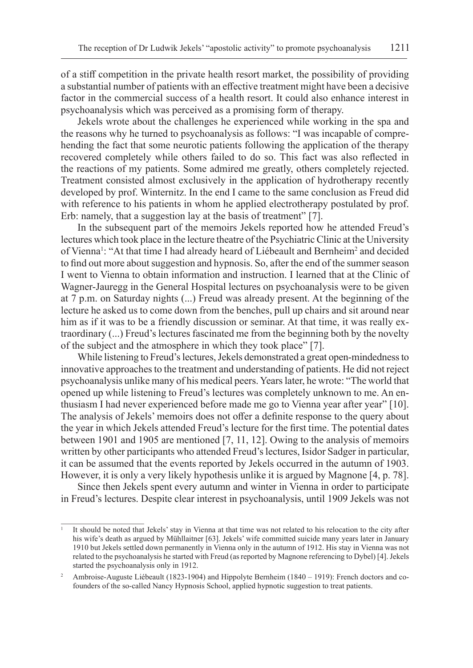of a stiff competition in the private health resort market, the possibility of providing a substantial number of patients with an effective treatment might have been a decisive factor in the commercial success of a health resort. It could also enhance interest in psychoanalysis which was perceived as a promising form of therapy.

Jekels wrote about the challenges he experienced while working in the spa and the reasons why he turned to psychoanalysis as follows: "I was incapable of comprehending the fact that some neurotic patients following the application of the therapy recovered completely while others failed to do so. This fact was also reflected in the reactions of my patients. Some admired me greatly, others completely rejected. Treatment consisted almost exclusively in the application of hydrotherapy recently developed by prof. Winternitz. In the end I came to the same conclusion as Freud did with reference to his patients in whom he applied electrotherapy postulated by prof. Erb: namely, that a suggestion lay at the basis of treatment" [7].

In the subsequent part of the memoirs Jekels reported how he attended Freud's lectures which took place in the lecture theatre of the Psychiatric Clinic at the University of Vienna<sup>1</sup>: "At that time I had already heard of Liébeault and Bernheim<sup>2</sup> and decided to find out more about suggestion and hypnosis. So, after the end of the summer season I went to Vienna to obtain information and instruction. I learned that at the Clinic of Wagner-Jauregg in the General Hospital lectures on psychoanalysis were to be given at 7 p.m. on Saturday nights (...) Freud was already present. At the beginning of the lecture he asked us to come down from the benches, pull up chairs and sit around near him as if it was to be a friendly discussion or seminar. At that time, it was really extraordinary (...) Freud's lectures fascinated me from the beginning both by the novelty of the subject and the atmosphere in which they took place" [7].

While listening to Freud's lectures, Jekels demonstrated a great open-mindedness to innovative approaches to the treatment and understanding of patients. He did not reject psychoanalysis unlike many of his medical peers. Years later, he wrote: "The world that opened up while listening to Freud's lectures was completely unknown to me. An enthusiasm I had never experienced before made me go to Vienna year after year" [10]. The analysis of Jekels' memoirs does not offer a definite response to the query about the year in which Jekels attended Freud's lecture for the first time. The potential dates between 1901 and 1905 are mentioned [7, 11, 12]. Owing to the analysis of memoirs written by other participants who attended Freud's lectures, Isidor Sadger in particular, it can be assumed that the events reported by Jekels occurred in the autumn of 1903. However, it is only a very likely hypothesis unlike it is argued by Magnone [4, p. 78].

Since then Jekels spent every autumn and winter in Vienna in order to participate in Freud's lectures. Despite clear interest in psychoanalysis, until 1909 Jekels was not

<sup>1</sup> It should be noted that Jekels' stay in Vienna at that time was not related to his relocation to the city after his wife's death as argued by Mühllaitner [63]. Jekels' wife committed suicide many years later in January 1910 but Jekels settled down permanently in Vienna only in the autumn of 1912. His stay in Vienna was not related to the psychoanalysis he started with Freud (as reported by Magnone referencing to Dybel) [4]. Jekels started the psychoanalysis only in 1912.

<sup>&</sup>lt;sup>2</sup> Ambroise-Auguste Liébeault (1823-1904) and Hippolyte Bernheim (1840 – 1919): French doctors and cofounders of the so-called Nancy Hypnosis School, applied hypnotic suggestion to treat patients.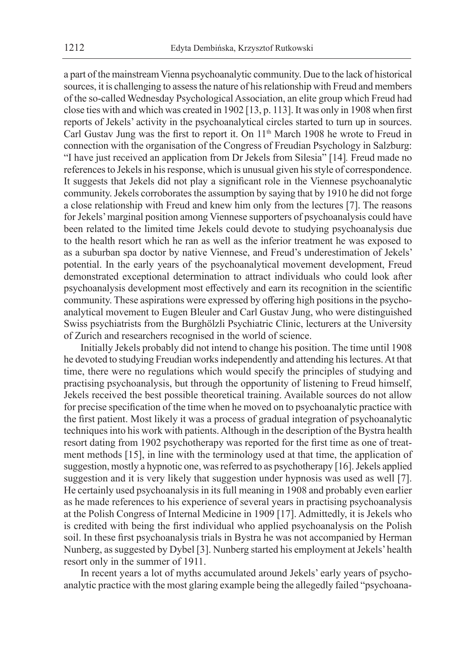a part of the mainstream Vienna psychoanalytic community. Due to the lack of historical sources, it is challenging to assess the nature of his relationship with Freud and members of the so-called Wednesday Psychological Association, an elite group which Freud had close ties with and which was created in 1902 [13, p. 113]. It was only in 1908 when first reports of Jekels' activity in the psychoanalytical circles started to turn up in sources. Carl Gustav Jung was the first to report it. On 11<sup>th</sup> March 1908 he wrote to Freud in connection with the organisation of the Congress of Freudian Psychology in Salzburg: "I have just received an application from Dr Jekels from Silesia" [14]*.* Freud made no references to Jekels in his response, which is unusual given his style of correspondence. It suggests that Jekels did not play a significant role in the Viennese psychoanalytic community. Jekels corroborates the assumption by saying that by 1910 he did not forge a close relationship with Freud and knew him only from the lectures [7]. The reasons for Jekels' marginal position among Viennese supporters of psychoanalysis could have been related to the limited time Jekels could devote to studying psychoanalysis due to the health resort which he ran as well as the inferior treatment he was exposed to as a suburban spa doctor by native Viennese, and Freud's underestimation of Jekels' potential. In the early years of the psychoanalytical movement development, Freud demonstrated exceptional determination to attract individuals who could look after psychoanalysis development most effectively and earn its recognition in the scientific community. These aspirations were expressed by offering high positions in the psychoanalytical movement to Eugen Bleuler and Carl Gustav Jung, who were distinguished Swiss psychiatrists from the Burghölzli Psychiatric Clinic, lecturers at the University of Zurich and researchers recognised in the world of science.

Initially Jekels probably did not intend to change his position. The time until 1908 he devoted to studying Freudian works independently and attending his lectures. At that time, there were no regulations which would specify the principles of studying and practising psychoanalysis, but through the opportunity of listening to Freud himself, Jekels received the best possible theoretical training. Available sources do not allow for precise specification of the time when he moved on to psychoanalytic practice with the first patient. Most likely it was a process of gradual integration of psychoanalytic techniques into his work with patients. Although in the description of the Bystra health resort dating from 1902 psychotherapy was reported for the first time as one of treatment methods [15], in line with the terminology used at that time, the application of suggestion, mostly a hypnotic one, was referred to as psychotherapy [16]. Jekels applied suggestion and it is very likely that suggestion under hypnosis was used as well [7]. He certainly used psychoanalysis in its full meaning in 1908 and probably even earlier as he made references to his experience of several years in practising psychoanalysis at the Polish Congress of Internal Medicine in 1909 [17]. Admittedly, it is Jekels who is credited with being the first individual who applied psychoanalysis on the Polish soil. In these first psychoanalysis trials in Bystra he was not accompanied by Herman Nunberg, as suggested by Dybel [3]. Nunberg started his employment at Jekels' health resort only in the summer of 1911.

In recent years a lot of myths accumulated around Jekels' early years of psychoanalytic practice with the most glaring example being the allegedly failed "psychoana-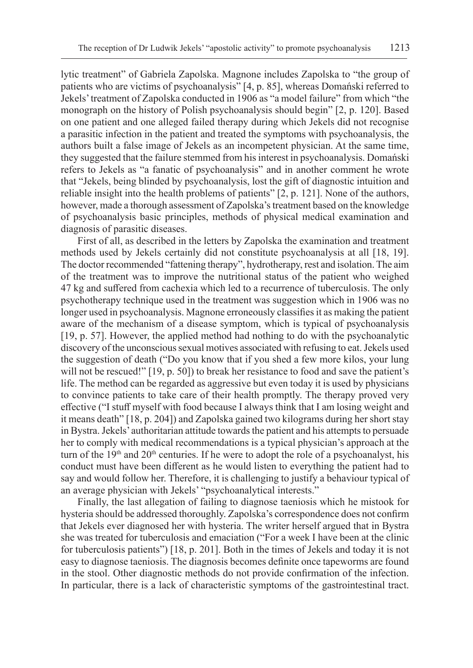lytic treatment" of Gabriela Zapolska. Magnone includes Zapolska to "the group of patients who are victims of psychoanalysis" [4, p. 85], whereas Domański referred to Jekels' treatment of Zapolska conducted in 1906 as "a model failure" from which "the monograph on the history of Polish psychoanalysis should begin" [2, p. 120]. Based on one patient and one alleged failed therapy during which Jekels did not recognise a parasitic infection in the patient and treated the symptoms with psychoanalysis, the authors built a false image of Jekels as an incompetent physician. At the same time, they suggested that the failure stemmed from his interest in psychoanalysis. Domański refers to Jekels as "a fanatic of psychoanalysis" and in another comment he wrote that "Jekels, being blinded by psychoanalysis, lost the gift of diagnostic intuition and reliable insight into the health problems of patients" [2, p. 121]. None of the authors, however, made a thorough assessment of Zapolska's treatment based on the knowledge of psychoanalysis basic principles, methods of physical medical examination and diagnosis of parasitic diseases.

First of all, as described in the letters by Zapolska the examination and treatment methods used by Jekels certainly did not constitute psychoanalysis at all [18, 19]. The doctor recommended "fattening therapy", hydrotherapy, rest and isolation. The aim of the treatment was to improve the nutritional status of the patient who weighed 47 kg and suffered from cachexia which led to a recurrence of tuberculosis. The only psychotherapy technique used in the treatment was suggestion which in 1906 was no longer used in psychoanalysis. Magnone erroneously classifies it as making the patient aware of the mechanism of a disease symptom, which is typical of psychoanalysis [19, p. 57]. However, the applied method had nothing to do with the psychoanalytic discovery of the unconscious sexual motives associated with refusing to eat. Jekels used the suggestion of death ("Do you know that if you shed a few more kilos, your lung will not be rescued!" [19, p. 50]) to break her resistance to food and save the patient's life. The method can be regarded as aggressive but even today it is used by physicians to convince patients to take care of their health promptly. The therapy proved very effective ("I stuff myself with food because I always think that I am losing weight and it means death" [18, p. 204]) and Zapolska gained two kilograms during her short stay in Bystra. Jekels' authoritarian attitude towards the patient and his attempts to persuade her to comply with medical recommendations is a typical physician's approach at the turn of the  $19<sup>th</sup>$  and  $20<sup>th</sup>$  centuries. If he were to adopt the role of a psychoanalyst, his conduct must have been different as he would listen to everything the patient had to say and would follow her. Therefore, it is challenging to justify a behaviour typical of an average physician with Jekels' "psychoanalytical interests."

Finally, the last allegation of failing to diagnose taeniosis which he mistook for hysteria should be addressed thoroughly. Zapolska's correspondence does not confirm that Jekels ever diagnosed her with hysteria. The writer herself argued that in Bystra she was treated for tuberculosis and emaciation ("For a week I have been at the clinic for tuberculosis patients") [18, p. 201]. Both in the times of Jekels and today it is not easy to diagnose taeniosis. The diagnosis becomes definite once tapeworms are found in the stool. Other diagnostic methods do not provide confirmation of the infection. In particular, there is a lack of characteristic symptoms of the gastrointestinal tract.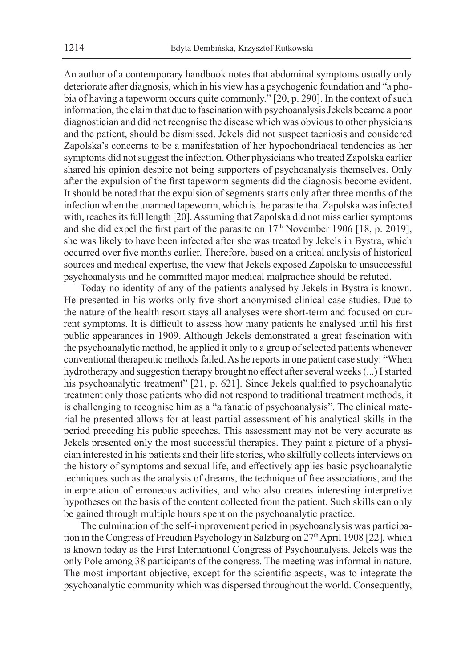An author of a contemporary handbook notes that abdominal symptoms usually only deteriorate after diagnosis, which in his view has a psychogenic foundation and "a phobia of having a tapeworm occurs quite commonly." [20, p. 290]. In the context of such information, the claim that due to fascination with psychoanalysis Jekels became a poor diagnostician and did not recognise the disease which was obvious to other physicians and the patient, should be dismissed. Jekels did not suspect taeniosis and considered Zapolska's concerns to be a manifestation of her hypochondriacal tendencies as her symptoms did not suggest the infection. Other physicians who treated Zapolska earlier shared his opinion despite not being supporters of psychoanalysis themselves. Only after the expulsion of the first tapeworm segments did the diagnosis become evident. It should be noted that the expulsion of segments starts only after three months of the infection when the unarmed tapeworm, which is the parasite that Zapolska was infected with, reaches its full length [20]. Assuming that Zapolska did not miss earlier symptoms and she did expel the first part of the parasite on  $17<sup>th</sup>$  November 1906 [18, p. 2019], she was likely to have been infected after she was treated by Jekels in Bystra, which occurred over five months earlier. Therefore, based on a critical analysis of historical sources and medical expertise, the view that Jekels exposed Zapolska to unsuccessful psychoanalysis and he committed major medical malpractice should be refuted.

Today no identity of any of the patients analysed by Jekels in Bystra is known. He presented in his works only five short anonymised clinical case studies. Due to the nature of the health resort stays all analyses were short-term and focused on current symptoms. It is difficult to assess how many patients he analysed until his first public appearances in 1909. Although Jekels demonstrated a great fascination with the psychoanalytic method, he applied it only to a group of selected patients whenever conventional therapeutic methods failed. As he reports in one patient case study: "When hydrotherapy and suggestion therapy brought no effect after several weeks (...) I started his psychoanalytic treatment" [21, p. 621]. Since Jekels qualified to psychoanalytic treatment only those patients who did not respond to traditional treatment methods, it is challenging to recognise him as a "a fanatic of psychoanalysis". The clinical material he presented allows for at least partial assessment of his analytical skills in the period preceding his public speeches. This assessment may not be very accurate as Jekels presented only the most successful therapies. They paint a picture of a physician interested in his patients and their life stories, who skilfully collects interviews on the history of symptoms and sexual life, and effectively applies basic psychoanalytic techniques such as the analysis of dreams, the technique of free associations, and the interpretation of erroneous activities, and who also creates interesting interpretive hypotheses on the basis of the content collected from the patient. Such skills can only be gained through multiple hours spent on the psychoanalytic practice.

The culmination of the self-improvement period in psychoanalysis was participation in the Congress of Freudian Psychology in Salzburg on 27<sup>th</sup> April 1908 [22], which is known today as the First International Congress of Psychoanalysis. Jekels was the only Pole among 38 participants of the congress. The meeting was informal in nature. The most important objective, except for the scientific aspects, was to integrate the psychoanalytic community which was dispersed throughout the world. Consequently,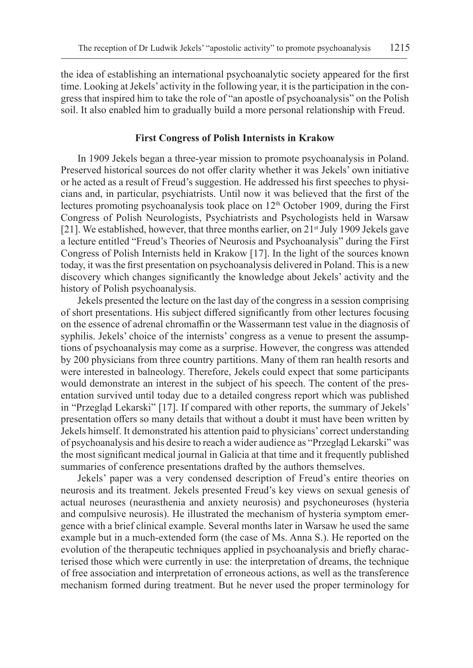the idea of establishing an international psychoanalytic society appeared for the first time. Looking at Jekels' activity in the following year, it is the participation in the congress that inspired him to take the role of "an apostle of psychoanalysis" on the Polish soil. It also enabled him to gradually build a more personal relationship with Freud.

#### **First Congress of Polish Internists in Krakow**

In 1909 Jekels began a three-year mission to promote psychoanalysis in Poland. Preserved historical sources do not offer clarity whether it was Jekels' own initiative or he acted as a result of Freud's suggestion. He addressed his first speeches to physicians and, in particular, psychiatrists. Until now it was believed that the first of the lectures promoting psychoanalysis took place on 12<sup>th</sup> October 1909, during the First Congress of Polish Neurologists, Psychiatrists and Psychologists held in Warsaw [21]. We established, however, that three months earlier, on  $21<sup>st</sup>$  July 1909 Jekels gave a lecture entitled "Freud's Theories of Neurosis and Psychoanalysis" during the First Congress of Polish Internists held in Krakow [17]. In the light of the sources known today, it was the first presentation on psychoanalysis delivered in Poland. This is a new discovery which changes significantly the knowledge about Jekels' activity and the history of Polish psychoanalysis.

Jekels presented the lecture on the last day of the congress in a session comprising of short presentations. His subject differed significantly from other lectures focusing on the essence of adrenal chromaffin or the Wassermann test value in the diagnosis of syphilis. Jekels' choice of the internists' congress as a venue to present the assumptions of psychoanalysis may come as a surprise. However, the congress was attended by 200 physicians from three country partitions. Many of them ran health resorts and were interested in balneology. Therefore, Jekels could expect that some participants would demonstrate an interest in the subject of his speech. The content of the presentation survived until today due to a detailed congress report which was published in "Przegląd Lekarski" [17]. If compared with other reports, the summary of Jekels' presentation offers so many details that without a doubt it must have been written by Jekels himself. It demonstrated his attention paid to physicians' correct understanding of psychoanalysis and his desire to reach a wider audience as "Przegląd Lekarski" was the most significant medical journal in Galicia at that time and it frequently published summaries of conference presentations drafted by the authors themselves.

Jekels' paper was a very condensed description of Freud's entire theories on neurosis and its treatment. Jekels presented Freud's key views on sexual genesis of actual neuroses (neurasthenia and anxiety neurosis) and psychoneuroses (hysteria and compulsive neurosis). He illustrated the mechanism of hysteria symptom emergence with a brief clinical example. Several months later in Warsaw he used the same example but in a much-extended form (the case of Ms. Anna S.). He reported on the evolution of the therapeutic techniques applied in psychoanalysis and briefly characterised those which were currently in use: the interpretation of dreams, the technique of free association and interpretation of erroneous actions, as well as the transference mechanism formed during treatment. But he never used the proper terminology for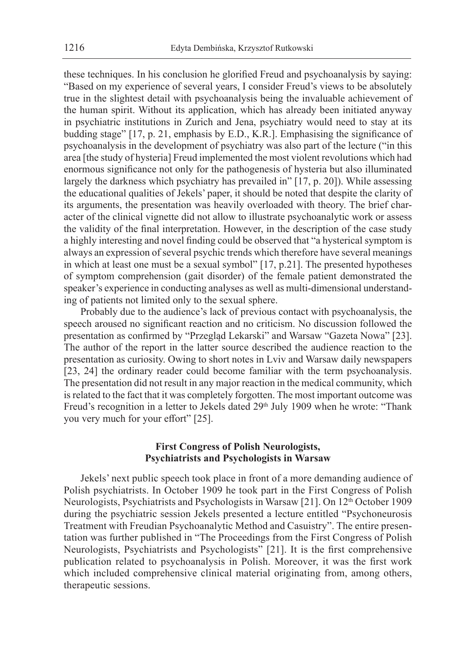these techniques. In his conclusion he glorified Freud and psychoanalysis by saying: "Based on my experience of several years, I consider Freud's views to be absolutely true in the slightest detail with psychoanalysis being the invaluable achievement of the human spirit. Without its application, which has already been initiated anyway in psychiatric institutions in Zurich and Jena, psychiatry would need to stay at its budding stage" [17, p. 21, emphasis by E.D., K.R.]. Emphasising the significance of psychoanalysis in the development of psychiatry was also part of the lecture ("in this area [the study of hysteria] Freud implemented the most violent revolutions which had enormous significance not only for the pathogenesis of hysteria but also illuminated largely the darkness which psychiatry has prevailed in" [17, p. 20]). While assessing the educational qualities of Jekels' paper, it should be noted that despite the clarity of its arguments, the presentation was heavily overloaded with theory. The brief character of the clinical vignette did not allow to illustrate psychoanalytic work or assess the validity of the final interpretation. However, in the description of the case study a highly interesting and novel finding could be observed that "a hysterical symptom is always an expression of several psychic trends which therefore have several meanings in which at least one must be a sexual symbol" [17, p.21]. The presented hypotheses of symptom comprehension (gait disorder) of the female patient demonstrated the speaker's experience in conducting analyses as well as multi-dimensional understanding of patients not limited only to the sexual sphere.

Probably due to the audience's lack of previous contact with psychoanalysis, the speech aroused no significant reaction and no criticism. No discussion followed the presentation as confirmed by "Przegląd Lekarski" and Warsaw "Gazeta Nowa" [23]. The author of the report in the latter source described the audience reaction to the presentation as curiosity. Owing to short notes in Lviv and Warsaw daily newspapers [23, 24] the ordinary reader could become familiar with the term psychoanalysis. The presentation did not result in any major reaction in the medical community, which is related to the fact that it was completely forgotten. The most important outcome was Freud's recognition in a letter to Jekels dated 29<sup>th</sup> July 1909 when he wrote: "Thank you very much for your effort" [25].

## **First Congress of Polish Neurologists, Psychiatrists and Psychologists in Warsaw**

Jekels' next public speech took place in front of a more demanding audience of Polish psychiatrists. In October 1909 he took part in the First Congress of Polish Neurologists, Psychiatrists and Psychologists in Warsaw [21]. On 12<sup>th</sup> October 1909 during the psychiatric session Jekels presented a lecture entitled "Psychoneurosis Treatment with Freudian Psychoanalytic Method and Casuistry". The entire presentation was further published in "The Proceedings from the First Congress of Polish Neurologists, Psychiatrists and Psychologists" [21]. It is the first comprehensive publication related to psychoanalysis in Polish. Moreover, it was the first work which included comprehensive clinical material originating from, among others, therapeutic sessions.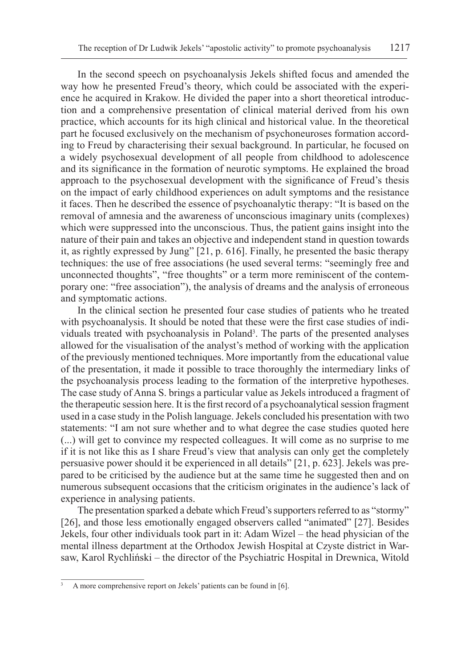In the second speech on psychoanalysis Jekels shifted focus and amended the way how he presented Freud's theory, which could be associated with the experience he acquired in Krakow. He divided the paper into a short theoretical introduction and a comprehensive presentation of clinical material derived from his own practice, which accounts for its high clinical and historical value. In the theoretical part he focused exclusively on the mechanism of psychoneuroses formation according to Freud by characterising their sexual background. In particular, he focused on a widely psychosexual development of all people from childhood to adolescence and its significance in the formation of neurotic symptoms. He explained the broad approach to the psychosexual development with the significance of Freud's thesis on the impact of early childhood experiences on adult symptoms and the resistance it faces. Then he described the essence of psychoanalytic therapy: "It is based on the removal of amnesia and the awareness of unconscious imaginary units (complexes) which were suppressed into the unconscious. Thus, the patient gains insight into the nature of their pain and takes an objective and independent stand in question towards it, as rightly expressed by Jung" [21, p. 616]. Finally, he presented the basic therapy techniques: the use of free associations (he used several terms: "seemingly free and unconnected thoughts", "free thoughts" or a term more reminiscent of the contemporary one: "free association"), the analysis of dreams and the analysis of erroneous and symptomatic actions.

In the clinical section he presented four case studies of patients who he treated with psychoanalysis. It should be noted that these were the first case studies of individuals treated with psychoanalysis in Poland<sup>3</sup>. The parts of the presented analyses allowed for the visualisation of the analyst's method of working with the application of the previously mentioned techniques. More importantly from the educational value of the presentation, it made it possible to trace thoroughly the intermediary links of the psychoanalysis process leading to the formation of the interpretive hypotheses. The case study of Anna S. brings a particular value as Jekels introduced a fragment of the therapeutic session here. It is the first record of a psychoanalytical session fragment used in a case study in the Polish language. Jekels concluded his presentation with two statements: "I am not sure whether and to what degree the case studies quoted here (...) will get to convince my respected colleagues. It will come as no surprise to me if it is not like this as I share Freud's view that analysis can only get the completely persuasive power should it be experienced in all details" [21, p. 623]. Jekels was prepared to be criticised by the audience but at the same time he suggested then and on numerous subsequent occasions that the criticism originates in the audience's lack of experience in analysing patients.

The presentation sparked a debate which Freud's supporters referred to as "stormy" [26], and those less emotionally engaged observers called "animated" [27]. Besides Jekels, four other individuals took part in it: Adam Wizel – the head physician of the mental illness department at the Orthodox Jewish Hospital at Czyste district in Warsaw, Karol Rychliński – the director of the Psychiatric Hospital in Drewnica, Witold

A more comprehensive report on Jekels' patients can be found in [6].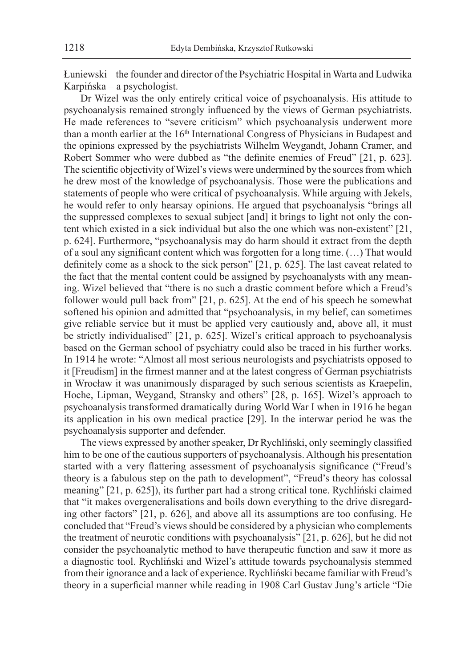Łuniewski – the founder and director of the Psychiatric Hospital in Warta and Ludwika Karpińska – a psychologist.

Dr Wizel was the only entirely critical voice of psychoanalysis. His attitude to psychoanalysis remained strongly influenced by the views of German psychiatrists. He made references to "severe criticism" which psychoanalysis underwent more than a month earlier at the 16<sup>th</sup> International Congress of Physicians in Budapest and the opinions expressed by the psychiatrists Wilhelm Weygandt, Johann Cramer, and Robert Sommer who were dubbed as "the definite enemies of Freud" [21, p. 623]. The scientific objectivity of Wizel's views were undermined by the sources from which he drew most of the knowledge of psychoanalysis. Those were the publications and statements of people who were critical of psychoanalysis. While arguing with Jekels, he would refer to only hearsay opinions. He argued that psychoanalysis "brings all the suppressed complexes to sexual subject [and] it brings to light not only the content which existed in a sick individual but also the one which was non-existent" [21, p. 624]. Furthermore, "psychoanalysis may do harm should it extract from the depth of a soul any significant content which was forgotten for a long time. (…) That would definitely come as a shock to the sick person" [21, p. 625]. The last caveat related to the fact that the mental content could be assigned by psychoanalysts with any meaning. Wizel believed that "there is no such a drastic comment before which a Freud's follower would pull back from" [21, p. 625]. At the end of his speech he somewhat softened his opinion and admitted that "psychoanalysis, in my belief, can sometimes give reliable service but it must be applied very cautiously and, above all, it must be strictly individualised" [21, p. 625]. Wizel's critical approach to psychoanalysis based on the German school of psychiatry could also be traced in his further works. In 1914 he wrote: "Almost all most serious neurologists and psychiatrists opposed to it [Freudism] in the firmest manner and at the latest congress of German psychiatrists in Wrocław it was unanimously disparaged by such serious scientists as Kraepelin, Hoche, Lipman, Weygand, Stransky and others" [28, p. 165]. Wizel's approach to psychoanalysis transformed dramatically during World War I when in 1916 he began its application in his own medical practice [29]. In the interwar period he was the psychoanalysis supporter and defender.

The views expressed by another speaker, Dr Rychliński, only seemingly classified him to be one of the cautious supporters of psychoanalysis. Although his presentation started with a very flattering assessment of psychoanalysis significance ("Freud's theory is a fabulous step on the path to development", "Freud's theory has colossal meaning" [21, p. 625]), its further part had a strong critical tone. Rychliński claimed that "it makes overgeneralisations and boils down everything to the drive disregarding other factors" [21, p. 626], and above all its assumptions are too confusing. He concluded that "Freud's views should be considered by a physician who complements the treatment of neurotic conditions with psychoanalysis" [21, p. 626], but he did not consider the psychoanalytic method to have therapeutic function and saw it more as a diagnostic tool. Rychliński and Wizel's attitude towards psychoanalysis stemmed from their ignorance and a lack of experience. Rychliński became familiar with Freud's theory in a superficial manner while reading in 1908 Carl Gustav Jung's article "Die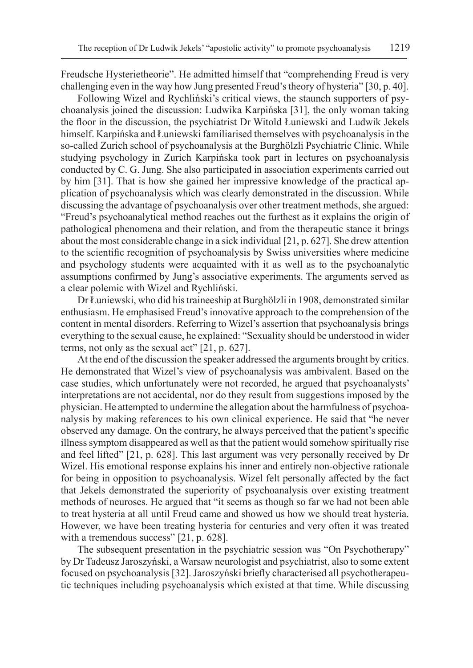Freudsche Hysterietheorie". He admitted himself that "comprehending Freud is very challenging even in the way how Jung presented Freud's theory of hysteria" [30, p. 40].

Following Wizel and Rychliński's critical views, the staunch supporters of psychoanalysis joined the discussion: Ludwika Karpińska [31], the only woman taking the floor in the discussion, the psychiatrist Dr Witold Łuniewski and Ludwik Jekels himself. Karpińska and Łuniewski familiarised themselves with psychoanalysis in the so-called Zurich school of psychoanalysis at the Burghölzli Psychiatric Clinic. While studying psychology in Zurich Karpińska took part in lectures on psychoanalysis conducted by C. G. Jung. She also participated in association experiments carried out by him [31]. That is how she gained her impressive knowledge of the practical application of psychoanalysis which was clearly demonstrated in the discussion. While discussing the advantage of psychoanalysis over other treatment methods, she argued: "Freud's psychoanalytical method reaches out the furthest as it explains the origin of pathological phenomena and their relation, and from the therapeutic stance it brings about the most considerable change in a sick individual [21, p. 627]. She drew attention to the scientific recognition of psychoanalysis by Swiss universities where medicine and psychology students were acquainted with it as well as to the psychoanalytic assumptions confirmed by Jung's associative experiments. The arguments served as a clear polemic with Wizel and Rychliński.

Dr Łuniewski, who did his traineeship at Burghölzli in 1908, demonstrated similar enthusiasm. He emphasised Freud's innovative approach to the comprehension of the content in mental disorders. Referring to Wizel's assertion that psychoanalysis brings everything to the sexual cause, he explained: "Sexuality should be understood in wider terms, not only as the sexual act" [21, p. 627].

At the end of the discussion the speaker addressed the arguments brought by critics. He demonstrated that Wizel's view of psychoanalysis was ambivalent. Based on the case studies, which unfortunately were not recorded, he argued that psychoanalysts' interpretations are not accidental, nor do they result from suggestions imposed by the physician. He attempted to undermine the allegation about the harmfulness of psychoanalysis by making references to his own clinical experience. He said that "he never observed any damage. On the contrary, he always perceived that the patient's specific illness symptom disappeared as well as that the patient would somehow spiritually rise and feel lifted" [21, p. 628]. This last argument was very personally received by Dr Wizel. His emotional response explains his inner and entirely non-objective rationale for being in opposition to psychoanalysis. Wizel felt personally affected by the fact that Jekels demonstrated the superiority of psychoanalysis over existing treatment methods of neuroses. He argued that "it seems as though so far we had not been able to treat hysteria at all until Freud came and showed us how we should treat hysteria. However, we have been treating hysteria for centuries and very often it was treated with a tremendous success" [21, p. 628].

The subsequent presentation in the psychiatric session was "On Psychotherapy" by Dr Tadeusz Jaroszyński, a Warsaw neurologist and psychiatrist, also to some extent focused on psychoanalysis [32]. Jaroszyński briefly characterised all psychotherapeutic techniques including psychoanalysis which existed at that time. While discussing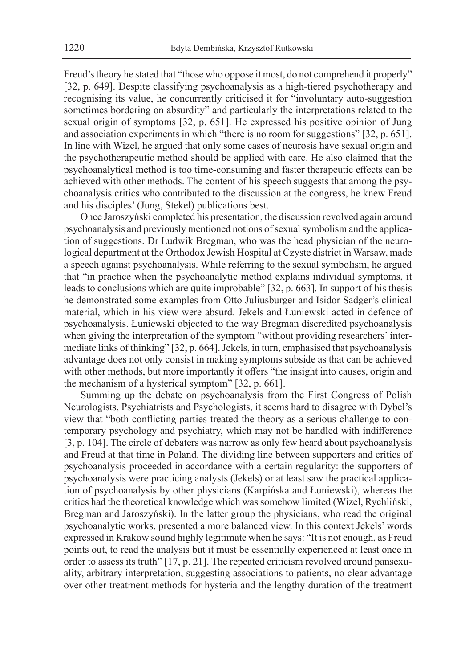Freud's theory he stated that "those who oppose it most, do not comprehend it properly" [32, p. 649]. Despite classifying psychoanalysis as a high-tiered psychotherapy and recognising its value, he concurrently criticised it for "involuntary auto-suggestion sometimes bordering on absurdity" and particularly the interpretations related to the sexual origin of symptoms [32, p. 651]. He expressed his positive opinion of Jung and association experiments in which "there is no room for suggestions" [32, p. 651]. In line with Wizel, he argued that only some cases of neurosis have sexual origin and the psychotherapeutic method should be applied with care. He also claimed that the psychoanalytical method is too time-consuming and faster therapeutic effects can be achieved with other methods. The content of his speech suggests that among the psychoanalysis critics who contributed to the discussion at the congress, he knew Freud and his disciples' (Jung, Stekel) publications best.

Once Jaroszyński completed his presentation, the discussion revolved again around psychoanalysis and previously mentioned notions of sexual symbolism and the application of suggestions. Dr Ludwik Bregman, who was the head physician of the neurological department at the Orthodox Jewish Hospital at Czyste district in Warsaw, made a speech against psychoanalysis. While referring to the sexual symbolism, he argued that "in practice when the psychoanalytic method explains individual symptoms, it leads to conclusions which are quite improbable" [32, p. 663]. In support of his thesis he demonstrated some examples from Otto Juliusburger and Isidor Sadger's clinical material, which in his view were absurd. Jekels and Łuniewski acted in defence of psychoanalysis. Łuniewski objected to the way Bregman discredited psychoanalysis when giving the interpretation of the symptom "without providing researchers' intermediate links of thinking" [32, p. 664]. Jekels, in turn, emphasised that psychoanalysis advantage does not only consist in making symptoms subside as that can be achieved with other methods, but more importantly it offers "the insight into causes, origin and the mechanism of a hysterical symptom" [32, p. 661].

Summing up the debate on psychoanalysis from the First Congress of Polish Neurologists, Psychiatrists and Psychologists, it seems hard to disagree with Dybel's view that "both conflicting parties treated the theory as a serious challenge to contemporary psychology and psychiatry, which may not be handled with indifference [3, p. 104]. The circle of debaters was narrow as only few heard about psychoanalysis and Freud at that time in Poland. The dividing line between supporters and critics of psychoanalysis proceeded in accordance with a certain regularity: the supporters of psychoanalysis were practicing analysts (Jekels) or at least saw the practical application of psychoanalysis by other physicians (Karpińska and Łuniewski), whereas the critics had the theoretical knowledge which was somehow limited (Wizel, Rychliński, Bregman and Jaroszyński). In the latter group the physicians, who read the original psychoanalytic works, presented a more balanced view. In this context Jekels' words expressed in Krakow sound highly legitimate when he says: "It is not enough, as Freud points out, to read the analysis but it must be essentially experienced at least once in order to assess its truth" [17, p. 21]. The repeated criticism revolved around pansexuality, arbitrary interpretation, suggesting associations to patients, no clear advantage over other treatment methods for hysteria and the lengthy duration of the treatment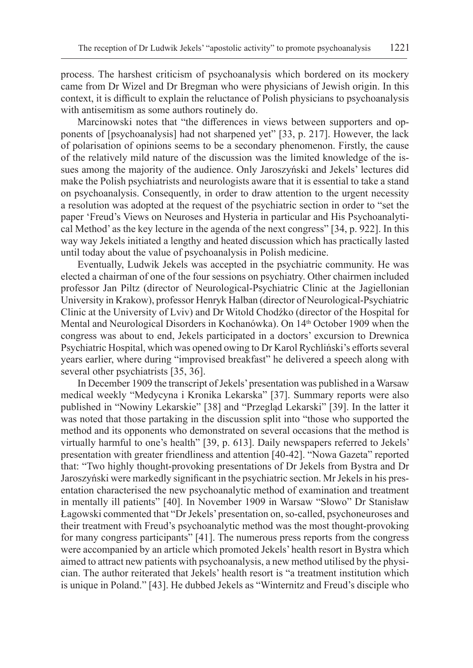process. The harshest criticism of psychoanalysis which bordered on its mockery came from Dr Wizel and Dr Bregman who were physicians of Jewish origin. In this context, it is difficult to explain the reluctance of Polish physicians to psychoanalysis with antisemitism as some authors routinely do.

Marcinowski notes that "the differences in views between supporters and opponents of [psychoanalysis] had not sharpened yet" [33, p. 217]. However, the lack of polarisation of opinions seems to be a secondary phenomenon. Firstly, the cause of the relatively mild nature of the discussion was the limited knowledge of the issues among the majority of the audience. Only Jaroszyński and Jekels' lectures did make the Polish psychiatrists and neurologists aware that it is essential to take a stand on psychoanalysis. Consequently, in order to draw attention to the urgent necessity a resolution was adopted at the request of the psychiatric section in order to "set the paper 'Freud's Views on Neuroses and Hysteria in particular and His Psychoanalytical Method' as the key lecture in the agenda of the next congress" [34, p. 922]. In this way way Jekels initiated a lengthy and heated discussion which has practically lasted until today about the value of psychoanalysis in Polish medicine.

Eventually, Ludwik Jekels was accepted in the psychiatric community. He was elected a chairman of one of the four sessions on psychiatry. Other chairmen included professor Jan Piltz (director of Neurological-Psychiatric Clinic at the Jagiellonian University in Krakow), professor Henryk Halban (director of Neurological-Psychiatric Clinic at the University of Lviv) and Dr Witold Chodźko (director of the Hospital for Mental and Neurological Disorders in Kochanówka). On 14th October 1909 when the congress was about to end, Jekels participated in a doctors' excursion to Drewnica Psychiatric Hospital, which was opened owing to Dr Karol Rychliński's efforts several years earlier, where during "improvised breakfast" he delivered a speech along with several other psychiatrists [35, 36].

In December 1909 the transcript of Jekels' presentation was published in a Warsaw medical weekly "Medycyna i Kronika Lekarska" [37]. Summary reports were also published in "Nowiny Lekarskie" [38] and "Przegląd Lekarski" [39]. In the latter it was noted that those partaking in the discussion split into "those who supported the method and its opponents who demonstrated on several occasions that the method is virtually harmful to one's health" [39, p. 613]. Daily newspapers referred to Jekels' presentation with greater friendliness and attention [40-42]. "Nowa Gazeta" reported that: "Two highly thought-provoking presentations of Dr Jekels from Bystra and Dr Jaroszyński were markedly significant in the psychiatric section. Mr Jekels in his presentation characterised the new psychoanalytic method of examination and treatment in mentally ill patients" [40]. In November 1909 in Warsaw "Słowo" Dr Stanisław Łagowski commented that "Dr Jekels' presentation on, so-called, psychoneuroses and their treatment with Freud's psychoanalytic method was the most thought-provoking for many congress participants" [41]. The numerous press reports from the congress were accompanied by an article which promoted Jekels' health resort in Bystra which aimed to attract new patients with psychoanalysis, a new method utilised by the physician. The author reiterated that Jekels' health resort is "a treatment institution which is unique in Poland." [43]. He dubbed Jekels as "Winternitz and Freud's disciple who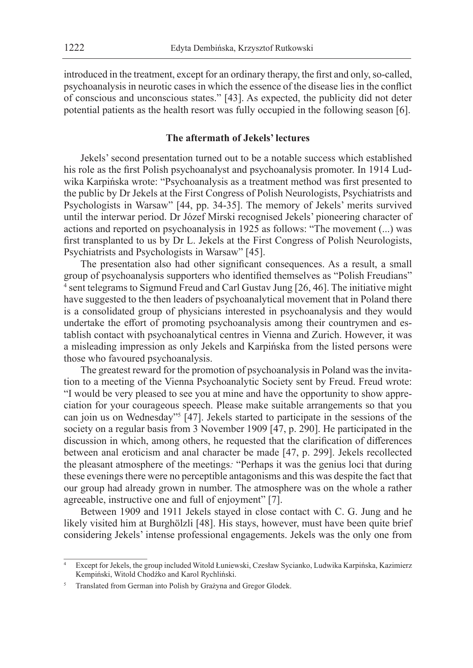introduced in the treatment, except for an ordinary therapy, the first and only, so-called, psychoanalysis in neurotic cases in which the essence of the disease lies in the conflict of conscious and unconscious states." [43]. As expected, the publicity did not deter potential patients as the health resort was fully occupied in the following season [6].

## **The aftermath of Jekels' lectures**

Jekels' second presentation turned out to be a notable success which established his role as the first Polish psychoanalyst and psychoanalysis promoter. In 1914 Ludwika Karpińska wrote: "Psychoanalysis as a treatment method was first presented to the public by Dr Jekels at the First Congress of Polish Neurologists, Psychiatrists and Psychologists in Warsaw" [44, pp. 34-35]. The memory of Jekels' merits survived until the interwar period. Dr Józef Mirski recognised Jekels' pioneering character of actions and reported on psychoanalysis in 1925 as follows: "The movement (...) was first transplanted to us by Dr L. Jekels at the First Congress of Polish Neurologists, Psychiatrists and Psychologists in Warsaw" [45].

The presentation also had other significant consequences. As a result, a small group of psychoanalysis supporters who identified themselves as "Polish Freudians" 4 sent telegrams to Sigmund Freud and Carl Gustav Jung [26, 46]. The initiative might have suggested to the then leaders of psychoanalytical movement that in Poland there is a consolidated group of physicians interested in psychoanalysis and they would undertake the effort of promoting psychoanalysis among their countrymen and establish contact with psychoanalytical centres in Vienna and Zurich. However, it was a misleading impression as only Jekels and Karpińska from the listed persons were those who favoured psychoanalysis.

The greatest reward for the promotion of psychoanalysis in Poland was the invitation to a meeting of the Vienna Psychoanalytic Society sent by Freud. Freud wrote: "I would be very pleased to see you at mine and have the opportunity to show appreciation for your courageous speech. Please make suitable arrangements so that you can join us on Wednesday"<sup>5</sup> [47]. Jekels started to participate in the sessions of the society on a regular basis from 3 November 1909 [47, p. 290]. He participated in the discussion in which, among others, he requested that the clarification of differences between anal eroticism and anal character be made [47, p. 299]. Jekels recollected the pleasant atmosphere of the meetings*:* "Perhaps it was the genius loci that during these evenings there were no perceptible antagonisms and this was despite the fact that our group had already grown in number. The atmosphere was on the whole a rather agreeable, instructive one and full of enjoyment" [7].

Between 1909 and 1911 Jekels stayed in close contact with C. G. Jung and he likely visited him at Burghölzli [48]. His stays, however, must have been quite brief considering Jekels' intense professional engagements. Jekels was the only one from

<sup>4</sup> Except for Jekels, the group included Witold Łuniewski, Czesław Sycianko, Ludwika Karpińska, Kazimierz Kempiński, Witold Chodźko and Karol Rychliński.

<sup>5</sup> Translated from German into Polish by Grażyna and Gregor Glodek.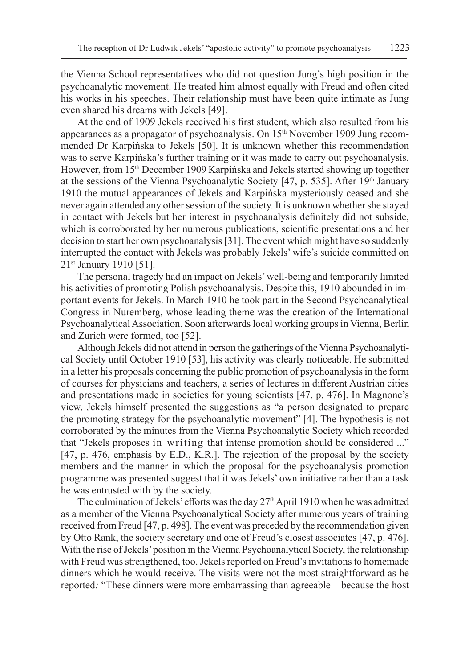the Vienna School representatives who did not question Jung's high position in the psychoanalytic movement. He treated him almost equally with Freud and often cited his works in his speeches. Their relationship must have been quite intimate as Jung even shared his dreams with Jekels [49].

At the end of 1909 Jekels received his first student, which also resulted from his appearances as a propagator of psychoanalysis. On 15<sup>th</sup> November 1909 Jung recommended Dr Karpińska to Jekels [50]. It is unknown whether this recommendation was to serve Karpińska's further training or it was made to carry out psychoanalysis. However, from 15th December 1909 Karpińska and Jekels started showing up together at the sessions of the Vienna Psychoanalytic Society [47, p. 535]. After 19th January 1910 the mutual appearances of Jekels and Karpińska mysteriously ceased and she never again attended any other session of the society. It is unknown whether she stayed in contact with Jekels but her interest in psychoanalysis definitely did not subside, which is corroborated by her numerous publications, scientific presentations and her decision to start her own psychoanalysis [31]. The event which might have so suddenly interrupted the contact with Jekels was probably Jekels' wife's suicide committed on 21st January 1910 [51].

The personal tragedy had an impact on Jekels' well-being and temporarily limited his activities of promoting Polish psychoanalysis. Despite this, 1910 abounded in important events for Jekels. In March 1910 he took part in the Second Psychoanalytical Congress in Nuremberg, whose leading theme was the creation of the International Psychoanalytical Association. Soon afterwards local working groups in Vienna, Berlin and Zurich were formed, too [52].

Although Jekels did not attend in person the gatherings of the Vienna Psychoanalytical Society until October 1910 [53], his activity was clearly noticeable. He submitted in a letter his proposals concerning the public promotion of psychoanalysis in the form of courses for physicians and teachers, a series of lectures in different Austrian cities and presentations made in societies for young scientists [47, p. 476]. In Magnone's view, Jekels himself presented the suggestions as "a person designated to prepare the promoting strategy for the psychoanalytic movement" [4]. The hypothesis is not corroborated by the minutes from the Vienna Psychoanalytic Society which recorded that "Jekels proposes in writing that intense promotion should be considered ..." [47, p. 476, emphasis by E.D., K.R.]. The rejection of the proposal by the society members and the manner in which the proposal for the psychoanalysis promotion programme was presented suggest that it was Jekels' own initiative rather than a task he was entrusted with by the society.

The culmination of Jekels' efforts was the day  $27<sup>th</sup>$  April 1910 when he was admitted as a member of the Vienna Psychoanalytical Society after numerous years of training received from Freud [47, p. 498]. The event was preceded by the recommendation given by Otto Rank, the society secretary and one of Freud's closest associates [47, p. 476]. With the rise of Jekels' position in the Vienna Psychoanalytical Society, the relationship with Freud was strengthened, too. Jekels reported on Freud's invitations to homemade dinners which he would receive. The visits were not the most straightforward as he reported*:* "These dinners were more embarrassing than agreeable – because the host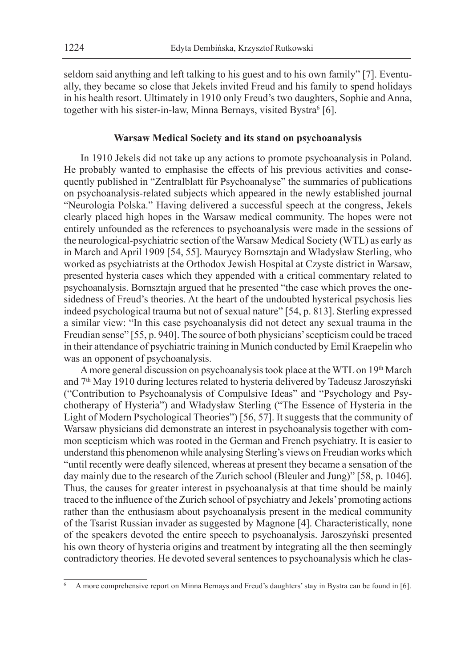seldom said anything and left talking to his guest and to his own family" [7]. Eventually, they became so close that Jekels invited Freud and his family to spend holidays in his health resort. Ultimately in 1910 only Freud's two daughters, Sophie and Anna, together with his sister-in-law, Minna Bernays, visited Bystra<sup>6</sup> [6].

## **Warsaw Medical Society and its stand on psychoanalysis**

In 1910 Jekels did not take up any actions to promote psychoanalysis in Poland. He probably wanted to emphasise the effects of his previous activities and consequently published in "Zentralblatt für Psychoanalyse" the summaries of publications on psychoanalysis-related subjects which appeared in the newly established journal "Neurologia Polska." Having delivered a successful speech at the congress, Jekels clearly placed high hopes in the Warsaw medical community. The hopes were not entirely unfounded as the references to psychoanalysis were made in the sessions of the neurological-psychiatric section of the Warsaw Medical Society (WTL) as early as in March and April 1909 [54, 55]. Maurycy Bornsztajn and Władysław Sterling, who worked as psychiatrists at the Orthodox Jewish Hospital at Czyste district in Warsaw, presented hysteria cases which they appended with a critical commentary related to psychoanalysis. Bornsztajn argued that he presented "the case which proves the onesidedness of Freud's theories. At the heart of the undoubted hysterical psychosis lies indeed psychological trauma but not of sexual nature" [54, p. 813]. Sterling expressed a similar view: "In this case psychoanalysis did not detect any sexual trauma in the Freudian sense" [55, p. 940]. The source of both physicians' scepticism could be traced in their attendance of psychiatric training in Munich conducted by Emil Kraepelin who was an opponent of psychoanalysis.

A more general discussion on psychoanalysis took place at the WTL on 19<sup>th</sup> March and 7<sup>th</sup> May 1910 during lectures related to hysteria delivered by Tadeusz Jaroszyński ("Contribution to Psychoanalysis of Compulsive Ideas" and "Psychology and Psychotherapy of Hysteria") and Władysław Sterling ("The Essence of Hysteria in the Light of Modern Psychological Theories") [56, 57]. It suggests that the community of Warsaw physicians did demonstrate an interest in psychoanalysis together with common scepticism which was rooted in the German and French psychiatry. It is easier to understand this phenomenon while analysing Sterling's views on Freudian works which "until recently were deafly silenced, whereas at present they became a sensation of the day mainly due to the research of the Zurich school (Bleuler and Jung)" [58, p. 1046]. Thus, the causes for greater interest in psychoanalysis at that time should be mainly traced to the influence of the Zurich school of psychiatry and Jekels' promoting actions rather than the enthusiasm about psychoanalysis present in the medical community of the Tsarist Russian invader as suggested by Magnone [4]. Characteristically, none of the speakers devoted the entire speech to psychoanalysis. Jaroszyński presented his own theory of hysteria origins and treatment by integrating all the then seemingly contradictory theories. He devoted several sentences to psychoanalysis which he clas-

<sup>6</sup> A more comprehensive report on Minna Bernays and Freud's daughters' stay in Bystra can be found in [6].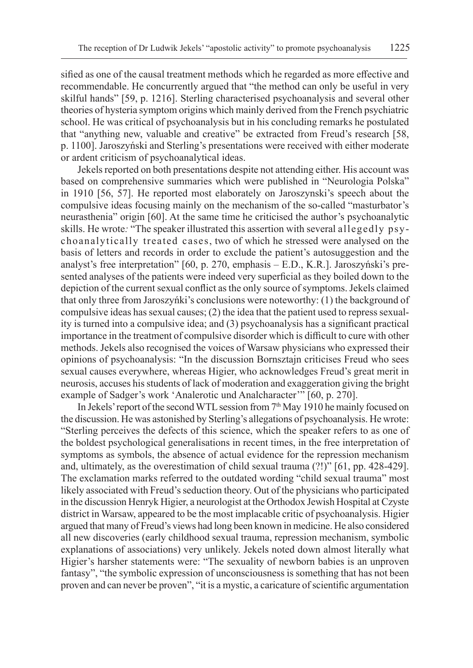sified as one of the causal treatment methods which he regarded as more effective and recommendable. He concurrently argued that "the method can only be useful in very skilful hands" [59, p. 1216]. Sterling characterised psychoanalysis and several other theories of hysteria symptom origins which mainly derived from the French psychiatric school. He was critical of psychoanalysis but in his concluding remarks he postulated that "anything new, valuable and creative" be extracted from Freud's research [58, p. 1100]. Jaroszyński and Sterling's presentations were received with either moderate or ardent criticism of psychoanalytical ideas.

Jekels reported on both presentations despite not attending either. His account was based on comprehensive summaries which were published in "Neurologia Polska" in 1910 [56, 57]. He reported most elaborately on Jaroszynski's speech about the compulsive ideas focusing mainly on the mechanism of the so-called "masturbator's neurasthenia" origin [60]. At the same time he criticised the author's psychoanalytic skills. He wrote*:* "The speaker illustrated this assertion with several allegedly psychoanalytically treated cases, two of which he stressed were analysed on the basis of letters and records in order to exclude the patient's autosuggestion and the analyst's free interpretation" [60, p. 270, emphasis – E.D., K.R.]. Jaroszyński's presented analyses of the patients were indeed very superficial as they boiled down to the depiction of the current sexual conflict as the only source of symptoms. Jekels claimed that only three from Jaroszyńki's conclusions were noteworthy: (1) the background of compulsive ideas has sexual causes; (2) the idea that the patient used to repress sexuality is turned into a compulsive idea; and (3) psychoanalysis has a significant practical importance in the treatment of compulsive disorder which is difficult to cure with other methods. Jekels also recognised the voices of Warsaw physicians who expressed their opinions of psychoanalysis: "In the discussion Bornsztajn criticises Freud who sees sexual causes everywhere, whereas Higier, who acknowledges Freud's great merit in neurosis, accuses his students of lack of moderation and exaggeration giving the bright example of Sadger's work 'Analerotic und Analcharacter'" [60, p. 270].

In Jekels' report of the second WTL session from 7th May 1910 he mainly focused on the discussion. He was astonished by Sterling's allegations of psychoanalysis. He wrote: "Sterling perceives the defects of this science, which the speaker refers to as one of the boldest psychological generalisations in recent times, in the free interpretation of symptoms as symbols, the absence of actual evidence for the repression mechanism and, ultimately, as the overestimation of child sexual trauma (?!)" [61, pp. 428-429]. The exclamation marks referred to the outdated wording "child sexual trauma" most likely associated with Freud's seduction theory. Out of the physicians who participated in the discussion Henryk Higier, a neurologist at the Orthodox Jewish Hospital at Czyste district in Warsaw, appeared to be the most implacable critic of psychoanalysis. Higier argued that many of Freud's views had long been known in medicine. He also considered all new discoveries (early childhood sexual trauma, repression mechanism, symbolic explanations of associations) very unlikely. Jekels noted down almost literally what Higier's harsher statements were: "The sexuality of newborn babies is an unproven fantasy", "the symbolic expression of unconsciousness is something that has not been proven and can never be proven", "it is a mystic, a caricature of scientific argumentation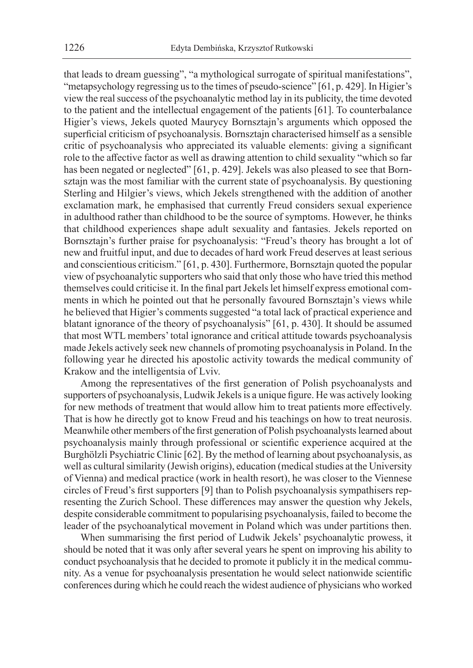that leads to dream guessing", "a mythological surrogate of spiritual manifestations", "metapsychology regressing us to the times of pseudo-science" [61, p. 429]. In Higier's view the real success of the psychoanalytic method lay in its publicity, the time devoted to the patient and the intellectual engagement of the patients [61]. To counterbalance Higier's views, Jekels quoted Maurycy Bornsztajn's arguments which opposed the superficial criticism of psychoanalysis. Bornsztajn characterised himself as a sensible critic of psychoanalysis who appreciated its valuable elements: giving a significant role to the affective factor as well as drawing attention to child sexuality "which so far has been negated or neglected" [61, p. 429]. Jekels was also pleased to see that Bornsztajn was the most familiar with the current state of psychoanalysis. By questioning Sterling and Hilgier's views, which Jekels strengthened with the addition of another exclamation mark, he emphasised that currently Freud considers sexual experience in adulthood rather than childhood to be the source of symptoms. However, he thinks that childhood experiences shape adult sexuality and fantasies. Jekels reported on Bornsztajn's further praise for psychoanalysis: "Freud's theory has brought a lot of new and fruitful input, and due to decades of hard work Freud deserves at least serious and conscientious criticism." [61, p. 430]. Furthermore, Bornsztajn quoted the popular view of psychoanalytic supporters who said that only those who have tried this method themselves could criticise it. In the final part Jekels let himself express emotional comments in which he pointed out that he personally favoured Bornsztajn's views while he believed that Higier's comments suggested "a total lack of practical experience and blatant ignorance of the theory of psychoanalysis" [61, p. 430]. It should be assumed that most WTL members' total ignorance and critical attitude towards psychoanalysis made Jekels actively seek new channels of promoting psychoanalysis in Poland. In the following year he directed his apostolic activity towards the medical community of Krakow and the intelligentsia of Lviv.

Among the representatives of the first generation of Polish psychoanalysts and supporters of psychoanalysis, Ludwik Jekels is a unique figure. He was actively looking for new methods of treatment that would allow him to treat patients more effectively. That is how he directly got to know Freud and his teachings on how to treat neurosis. Meanwhile other members of the first generation of Polish psychoanalysts learned about psychoanalysis mainly through professional or scientific experience acquired at the Burghölzli Psychiatric Clinic [62]. By the method of learning about psychoanalysis, as well as cultural similarity (Jewish origins), education (medical studies at the University of Vienna) and medical practice (work in health resort), he was closer to the Viennese circles of Freud's first supporters [9] than to Polish psychoanalysis sympathisers representing the Zurich School. These differences may answer the question why Jekels, despite considerable commitment to popularising psychoanalysis, failed to become the leader of the psychoanalytical movement in Poland which was under partitions then.

When summarising the first period of Ludwik Jekels' psychoanalytic prowess, it should be noted that it was only after several years he spent on improving his ability to conduct psychoanalysis that he decided to promote it publicly it in the medical community. As a venue for psychoanalysis presentation he would select nationwide scientific conferences during which he could reach the widest audience of physicians who worked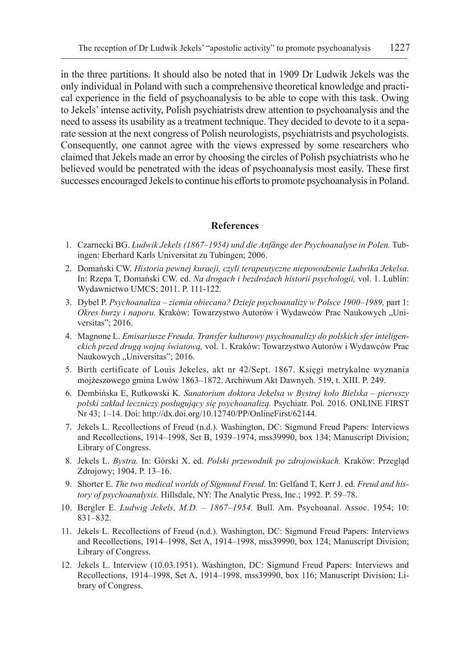in the three partitions. It should also be noted that in 1909 Dr Ludwik Jekels was the only individual in Poland with such a comprehensive theoretical knowledge and practical experience in the field of psychoanalysis to be able to cope with this task. Owing to Jekels' intense activity, Polish psychiatrists drew attention to psychoanalysis and the need to assess its usability as a treatment technique. They decided to devote to it a separate session at the next congress of Polish neurologists, psychiatrists and psychologists. Consequently, one cannot agree with the views expressed by some researchers who claimed that Jekels made an error by choosing the circles of Polish psychiatrists who he believed would be penetrated with the ideas of psychoanalysis most easily. These first successes encouraged Jekels to continue his efforts to promote psychoanalysis in Poland.

#### **References**

- 1. Czarnecki BG. *Ludwik Jekels (1867–1954) und die Anfänge der Psychoanalyse in Polen.* Tubingen: Eberhard Karls Universitat zu Tubingen; 2006.
- 2. Domański CW. *Historia pewnej kuracji, czyli terapeutyczne niepowodzenie Ludwika Jekelsa.* In: Rzepa T, Domański CW. ed. *Na drogach i bezdrożach historii psychologii,* vol. 1. Lublin: Wydawnictwo UMCS; 2011. P. 111-122.
- 3. Dybel P. *Psychoanaliza ziemia obiecana? Dzieje psychoanalizy w Polsce 1900–1989,* part 1: *Okres burzy i naporu.* Kraków: Towarzystwo Autorów i Wydawców Prac Naukowych "Universitas"; 2016.
- 4. Magnone L. *Emisariusze Freuda. Transfer kulturowy psychoanalizy do polskich sfer inteligenckich przed drugą wojną światową,* vol. 1. Kraków: Towarzystwo Autorów i Wydawców Prac Naukowych "Universitas"; 2016.
- 5. Birth certificate of Louis Jekeles, akt nr 42/Sept. 1867. Księgi metrykalne wyznania mojżeszowego gmina Lwów 1863–1872. Archiwum Akt Dawnych. 519, t. XIII. P. 249.
- 6. Dembińska E, Rutkowski K. *Sanatorium doktora Jekelsa w Bystrej koło Bielska pierwszy polski zakład leczniczy posługujący się psychoanalizą.* Psychiatr. Pol. 2016. ONLINE FIRST Nr 43; 1–14. Doi: http://dx.doi.org/10.12740/PP/OnlineFirst/62144.
- 7. Jekels L. Recollections of Freud (n.d.). Washington, DC: Sigmund Freud Papers: Interviews and Recollections, 1914–1998, Set B, 1939–1974, mss39990, box 134; Manuscript Division; Library of Congress.
- 8. Jekels L. *Bystra.* In: Górski X. ed. *Polski przewodnik po zdrojowiskach.* Kraków: Przegląd Zdrojowy; 1904. P. 13–16.
- 9. Shorter E. *The two medical worlds of Sigmund Freud.* In: Gelfand T, Kerr J. ed. *Freud and history of psychoanalysis.* Hillsdale, NY: The Analytic Press, Inc.; 1992. P. 59–78.
- 10. Bergler E. *Ludwig Jekels, M.D. 1867–1954.* Bull. Am. Psychoanal. Assoc. 1954; 10: 831–832.
- 11. Jekels L. Recollections of Freud (n.d.). Washington, DC: Sigmund Freud Papers: Interviews and Recollections, 1914–1998, Set A, 1914–1998, mss39990, box 124; Manuscript Division; Library of Congress.
- 12. Jekels L. Interview (10.03.1951). Washington, DC: Sigmund Freud Papers: Interviews and Recollections, 1914–1998, Set A, 1914–1998, mss39990, box 116; Manuscript Division; Library of Congress.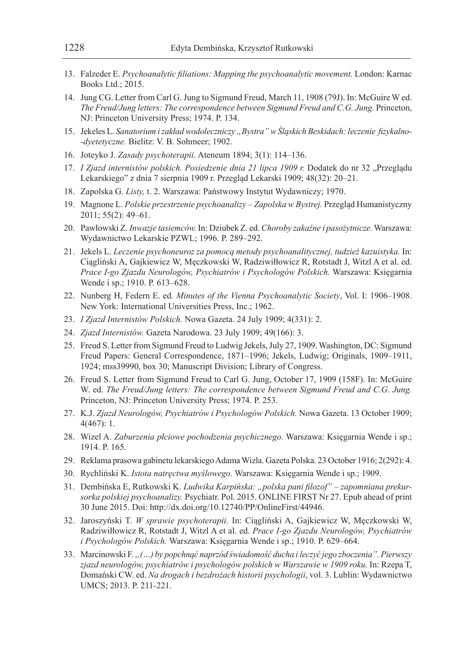- 13. Falzeder E. *Psychoanalytic filiations: Mapping the psychoanalytic movement.* London: Karnac Books Ltd.; 2015.
- 14. Jung CG. Letter from Carl G. Jung to Sigmund Freud, March 11, 1908 (79J). In: McGuire W ed. *The Freud/Jung letters: The correspondence between Sigmund Freud and C.G. Jung.* Princeton, NJ: Princeton University Press; 1974. P. 134.
- 15. Jekeles L. *Sanatorium izakład wodoleczniczy "Bystra" wŚląskich Beskidach: leczenie fizykalno- -dyetetyczne.* Bielitz: V. B. Sohmeer; 1902.
- 16. Joteyko J. *Zasady psychoterapii.* Ateneum 1894; 3(1): 114–136.
- 17. *I Zjazd internistów polskich. Posiedzenie dnia 21 lipca 1909 r.* Dodatek do nr 32 "Przeglądu Lekarskiego" z dnia 7 sierpnia 1909 r. Przegląd Lekarski 1909; 48(32): 20–21.
- 18. Zapolska G. *Listy,* t. 2. Warszawa: Państwowy Instytut Wydawniczy; 1970.
- 19. Magnone L. *Polskie przestrzenie psychoanalizy Zapolska w Bystrej.* Przegląd Humanistyczny 2011; 55(2): 49–61.
- 20. Pawłowski Z. *Inwazje tasiemców.* In: Dziubek Z. ed. *Choroby zakaźne i pasożytnicze.* Warszawa: Wydawnictwo Lekarskie PZWL; 1996. P. 289–292.
- 21. Jekels L. *Leczenie psychoneuroz za pomocą metody psychoanalitycznej, tudzież kazuistyka.* In: Ciągliński A, Gajkiewicz W, Męczkowski W, Radziwiłłowicz R, Rotstadt J, Witzl A et al. ed. *Prace I-go Zjazdu Neurologów, Psychiatrów i Psychologów Polskich.* Warszawa: Księgarnia Wende i sp.; 1910. P. 613–628.
- 22. Nunberg H, Federn E. ed*. Minutes of the Vienna Psychoanalytic Society*, Vol. I: 1906–1908. New York: International Universities Press, Inc.; 1962.
- 23. *I Zjazd Internistów Polskich.* Nowa Gazeta. 24 July 1909; 4(331): 2.
- 24. *Zjazd Internistów.* Gazeta Narodowa. 23 July 1909; 49(166): 3.
- 25. Freud S. Letter from Sigmund Freud to Ludwig Jekels, July 27, 1909. Washington, DC: Sigmund Freud Papers: General Correspondence, 1871–1996; Jekels, Ludwig; Originals, 1909–1911, 1924; mss39990, box 30; Manuscript Division; Library of Congress.
- 26. Freud S. Letter from Sigmund Freud to Carl G. Jung, October 17, 1909 (158F). In: McGuire W. ed. *The Freud/Jung letters: The correspondence between Sigmund Freud and C.G. Jung.* Princeton, NJ: Princeton University Press; 1974. P. 253.
- 27. K.J. *Zjazd Neurologów, Psychiatrów i Psychologów Polskich.* Nowa Gazeta. 13 October 1909; 4(467): 1.
- 28. Wizel A. *Zaburzenia płciowe pochodzenia psychicznego.* Warszawa: Księgarnia Wende i sp.; 1914. P. 165.
- 29. Reklama prasowa gabinetu lekarskiego Adama Wizla. Gazeta Polska. 23 October 1916; 2(292): 4.
- 30. Rychliński K. *Istota natręctwa myślowego.* Warszawa: Księgarnia Wende i sp.; 1909.
- 31. Dembińska E, Rutkowski K. *Ludwika Karpińska: "polska pani filozof" zapomniana prekursorka polskiej psychoanalizy.* Psychiatr. Pol. 2015. ONLINE FIRST Nr 27. Epub ahead of print 30 June 2015. Doi: http://dx.doi.org/10.12740/PP/OnlineFirst/44946.
- 32. Jaroszyński T. *W sprawie psychoterapii.* In: Ciągliński A, Gajkiewicz W, Męczkowski W, Radziwiłłowicz R, Rotstadt J, Witzl A et al. ed. *Prace I-go Zjazdu Neurologów, Psychiatrów i Psychologów Polskich.* Warszawa: Księgarnia Wende i sp.; 1910. P. 629–664.
- 33. Marcinowski F. *"(…) by popchnąć naprzód świadomość ducha i leczyć jego zboczenia". Pierwszy zjazd neurologów, psychiatrów i psychologów polskich w Warszawie w 1909 roku.* In: Rzepa T, Domański CW. ed. *Na drogach i bezdrożach historii psychologii*, vol. 3. Lublin: Wydawnictwo UMCS; 2013. P. 211-221.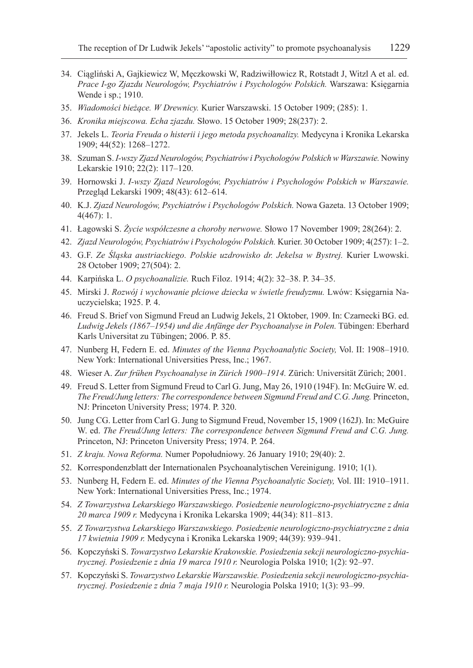- 34. Ciągliński A, Gajkiewicz W, Męczkowski W, Radziwiłłowicz R, Rotstadt J, Witzl A et al. ed. *Prace I-go Zjazdu Neurologów, Psychiatrów i Psychologów Polskich.* Warszawa: Księgarnia Wende i sp.; 1910.
- 35. *Wiadomości bieżące. W Drewnicy.* Kurier Warszawski. 15 October 1909; (285): 1.
- 36. *Kronika miejscowa. Echa zjazdu.* Słowo. 15 October 1909; 28(237): 2.
- 37. Jekels L. *Teoria Freuda o histerii i jego metoda psychoanalizy.* Medycyna i Kronika Lekarska 1909; 44(52): 1268–1272.
- 38. Szuman S. *I-wszy Zjazd Neurologów, Psychiatrów i Psychologów Polskich w Warszawie.* Nowiny Lekarskie 1910; 22(2): 117–120.
- 39. Hornowski J. *I-wszy Zjazd Neurologów, Psychiatrów i Psychologów Polskich w Warszawie.* Przegląd Lekarski 1909; 48(43): 612–614.
- 40. K.J. *Zjazd Neurologów, Psychiatrów i Psychologów Polskich.* Nowa Gazeta. 13 October 1909; 4(467): 1.
- 41. Łagowski S. *Życie współczesne a choroby nerwowe.* Słowo 17 November 1909; 28(264): 2.
- 42. *Zjazd Neurologów, Psychiatrów i Psychologów Polskich.* Kurier. 30 October 1909; 4(257): 1–2.
- 43. G.F. *Ze Śląska austriackiego. Polskie uzdrowisko dr. Jekelsa w Bystrej.* Kurier Lwowski. 28 October 1909; 27(504): 2.
- 44. Karpińska L. *O psychoanalizie.* Ruch Filoz. 1914; 4(2): 32–38. P. 34–35.
- 45. Mirski J. *Rozwój i wychowanie płciowe dziecka w świetle freudyzmu.* Lwów: Księgarnia Nauczycielska; 1925. P. 4.
- 46. Freud S. Brief von Sigmund Freud an Ludwig Jekels, 21 Oktober, 1909. In: Czarnecki BG. ed. *Ludwig Jekels (1867–1954) und die Anfänge der Psychoanalyse in Polen.* Tübingen: Eberhard Karls Universitat zu Tübingen; 2006. P. 85.
- 47. Nunberg H, Federn E. ed. *Minutes of the Vienna Psychoanalytic Society,* Vol. II: 1908–1910. New York: International Universities Press, Inc.; 1967.
- 48. Wieser A. *Zur frühen Psychoanalyse in Zürich 1900–1914.* Zürich: Universität Zürich; 2001.
- 49. Freud S. Letter from Sigmund Freud to Carl G. Jung, May 26, 1910 (194F). In: McGuire W. ed. *The Freud/Jung letters: The correspondence between Sigmund Freud and C.G. Jung.* Princeton, NJ: Princeton University Press; 1974. P. 320.
- 50. Jung CG. Letter from Carl G. Jung to Sigmund Freud, November 15, 1909 (162J). In: McGuire W. ed. *The Freud/Jung letters: The correspondence between Sigmund Freud and C.G. Jung.* Princeton, NJ: Princeton University Press; 1974. P. 264.
- 51. *Z kraju. Nowa Reforma.* Numer Popołudniowy. 26 January 1910; 29(40): 2.
- 52. Korrespondenzblatt der Internationalen Psychoanalytischen Vereinigung. 1910; 1(1).
- 53. Nunberg H, Federn E. ed. *Minutes of the Vienna Psychoanalytic Society,* Vol. III: 1910–1911. New York: International Universities Press, Inc.; 1974.
- 54. *Z Towarzystwa Lekarskiego Warszawskiego. Posiedzenie neurologiczno-psychiatryczne z dnia 20 marca 1909 r.* Medycyna i Kronika Lekarska 1909; 44(34): 811–813.
- 55. *Z Towarzystwa Lekarskiego Warszawskiego. Posiedzenie neurologiczno-psychiatryczne z dnia 17 kwietnia 1909 r.* Medycyna i Kronika Lekarska 1909; 44(39): 939–941.
- 56. Kopczyński S. *Towarzystwo Lekarskie Krakowskie. Posiedzenia sekcji neurologiczno-psychiatrycznej. Posiedzenie z dnia 19 marca 1910 r.* Neurologia Polska 1910; 1(2): 92–97.
- 57. Kopczyński S. *Towarzystwo Lekarskie Warszawskie. Posiedzenia sekcji neurologiczno-psychiatrycznej. Posiedzenie z dnia 7 maja 1910 r.* Neurologia Polska 1910; 1(3): 93–99.